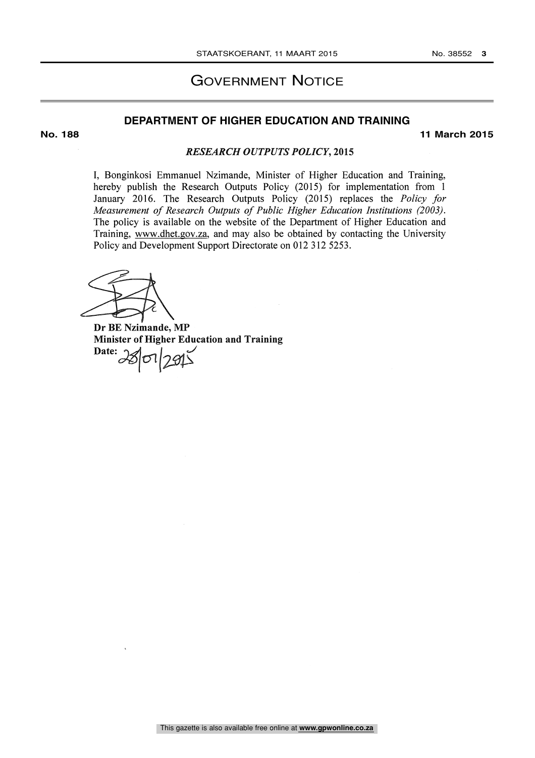### GOVERNMENT NOTICE

#### **DEPARTMENT OF HIGHER EDUCATION AND TRAINING**

**No. 188 11 March 2015**

#### RESEARCH OUTPUTS POLICY, 2015

I, Bonginkosi Emmanuel Nzimande, Minister of Higher Education and Training, hereby publish the Research Outputs Policy (2015) for implementation from <sup>1</sup> January 2016. The Research Outputs Policy (2015) replaces the Policy for Measurement of Research Outputs of Public Higher Education Institutions (2003). The policy is available on the website of the Department of Higher Education and Training, www.dhet.gov.za, and may also be obtained by contacting the University Policy and Development Support Directorate on 012 312 5253.

Dr BE Nzimande, MP Minister of Higher Education and Training  $\text{Date:} 28012915$ 

This gazette is also available free online at **www.gpwonline.co.za**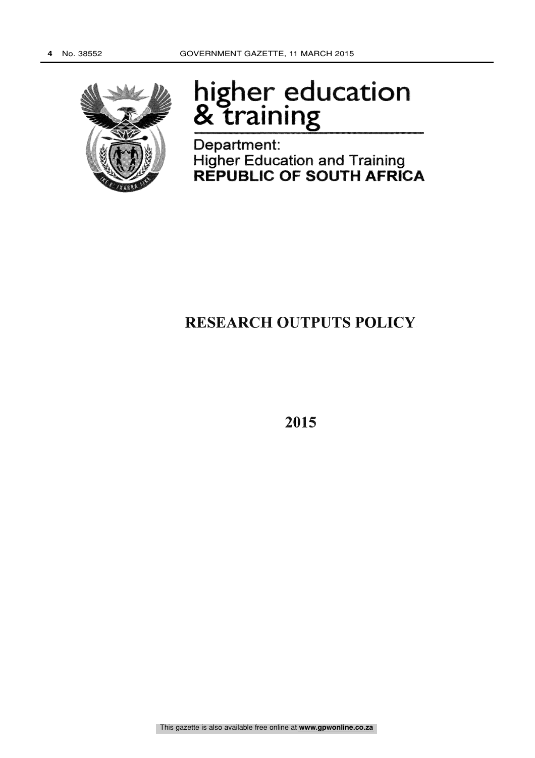

# higher education praining<br>Training

Department: Higher Education and Training REPUBLIC OF SOUTH AFRICA

## RESEARCH OUTPUTS POLICY

2015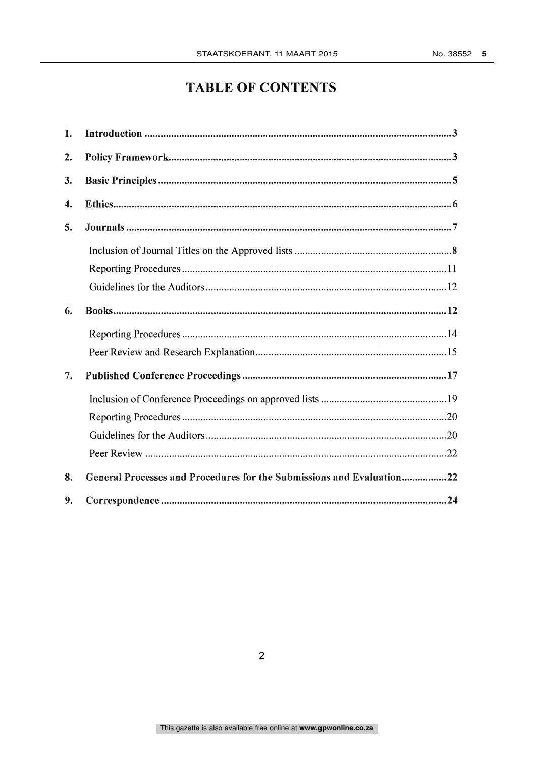## TABLE OF CONTENTS

| General Processes and Procedures for the Submissions and Evaluation22 |
|-----------------------------------------------------------------------|
|                                                                       |
|                                                                       |
|                                                                       |
|                                                                       |
|                                                                       |
|                                                                       |
|                                                                       |
|                                                                       |
|                                                                       |
|                                                                       |
|                                                                       |
|                                                                       |
|                                                                       |
|                                                                       |
|                                                                       |
|                                                                       |
|                                                                       |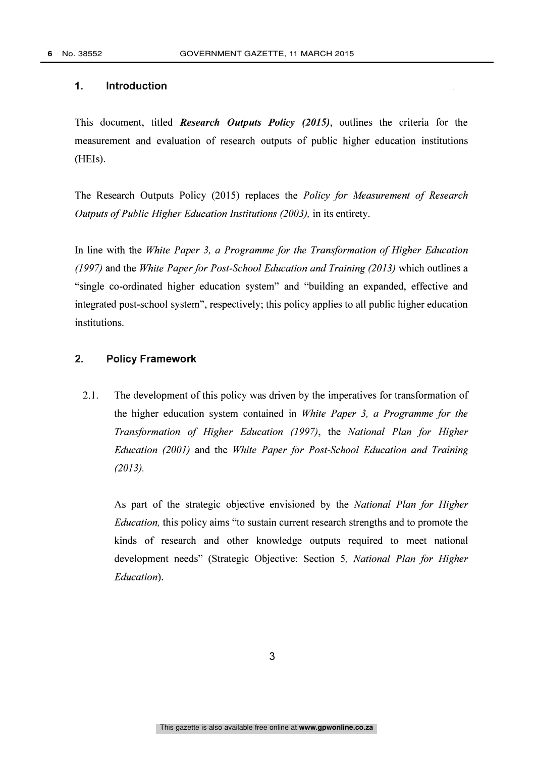#### 1. Introduction

This document, titled Research Outputs Policy (2015), outlines the criteria for the measurement and evaluation of research outputs of public higher education institutions  $(HEIs).$ 

The Research Outputs Policy (2015) replaces the Policy for Measurement of Research Outputs of Public Higher Education Institutions (2003), in its entirety.

In line with the White Paper 3, a Programme for the Transformation of Higher Education (1997) and the White Paper for Post-School Education and Training (2013) which outlines a "single co-ordinated higher education system" and "building an expanded, effective and integrated post-school system", respectively; this policy applies to all public higher education institutions.

#### 2. Policy Framework

2.1. The development of this policy was driven by the imperatives for transformation of the higher education system contained in White Paper 3, a Programme for the Transformation of Higher Education (1997), the National Plan for Higher Education (2001) and the White Paper for Post-School Education and Training (2013).

As part of the strategic objective envisioned by the National Plan for Higher Education, this policy aims "to sustain current research strengths and to promote the kinds of research and other knowledge outputs required to meet national development needs" (Strategic Objective: Section 5, National Plan for Higher Education).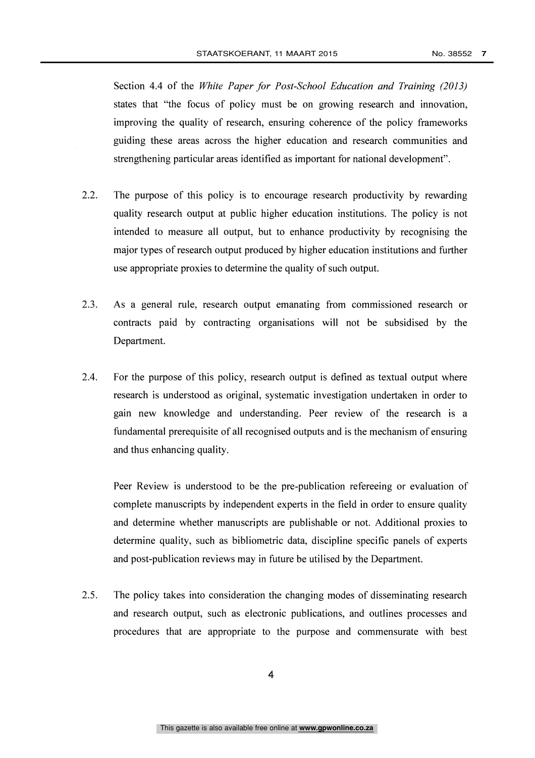Section 4.4 of the White Paper for Post-School Education and Training (2013) states that "the focus of policy must be on growing research and innovation, improving the quality of research, ensuring coherence of the policy frameworks guiding these areas across the higher education and research communities and strengthening particular areas identified as important for national development".

- 2.2. The purpose of this policy is to encourage research productivity by rewarding quality research output at public higher education institutions. The policy is not intended to measure all output, but to enhance productivity by recognising the major types of research output produced by higher education institutions and further use appropriate proxies to determine the quality of such output.
- 2.3. As a general rule, research output emanating from commissioned research or contracts paid by contracting organisations will not be subsidised by the Department.
- 2.4. For the purpose of this policy, research output is defined as textual output where research is understood as original, systematic investigation undertaken in order to gain new knowledge and understanding. Peer review of the research is a fundamental prerequisite of all recognised outputs and is the mechanism of ensuring and thus enhancing quality.

Peer Review is understood to be the pre-publication refereeing or evaluation of complete manuscripts by independent experts in the field in order to ensure quality and determine whether manuscripts are publishable or not. Additional proxies to determine quality, such as bibliometric data, discipline specific panels of experts and post-publication reviews may in future be utilised by the Department.

2.5. The policy takes into consideration the changing modes of disseminating research and research output, such as electronic publications, and outlines processes and procedures that are appropriate to the purpose and commensurate with best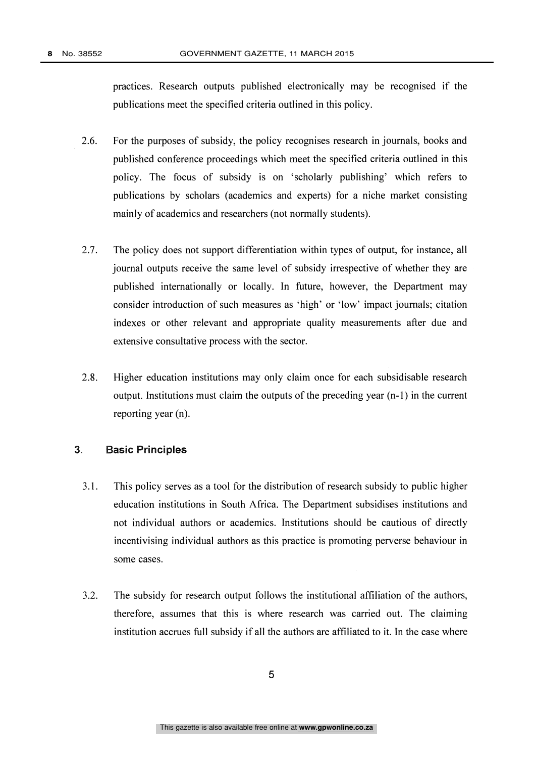practices. Research outputs published electronically may be recognised if the publications meet the specified criteria outlined in this policy.

- 2.6. For the purposes of subsidy, the policy recognises research in journals, books and published conference proceedings which meet the specified criteria outlined in this policy. The focus of subsidy is on 'scholarly publishing' which refers to publications by scholars (academics and experts) for a niche market consisting mainly of academics and researchers (not normally students).
- 2.7. The policy does not support differentiation within types of output, for instance, all journal outputs receive the same level of subsidy irrespective of whether they are published internationally or locally. In future, however, the Department may consider introduction of such measures as 'high' or 'low' impact journals; citation indexes or other relevant and appropriate quality measurements after due and extensive consultative process with the sector.
- 2.8. Higher education institutions may only claim once for each subsidisable research output. Institutions must claim the outputs of the preceding year (n-1) in the current reporting year (n).

#### 3. Basic Principles

- 3.1. This policy serves as a tool for the distribution of research subsidy to public higher education institutions in South Africa. The Department subsidises institutions and not individual authors or academics. Institutions should be cautious of directly incentivising individual authors as this practice is promoting perverse behaviour in some cases.
- 3.2. The subsidy for research output follows the institutional affiliation of the authors, therefore, assumes that this is where research was carried out. The claiming institution accrues full subsidy if all the authors are affiliated to it. In the case where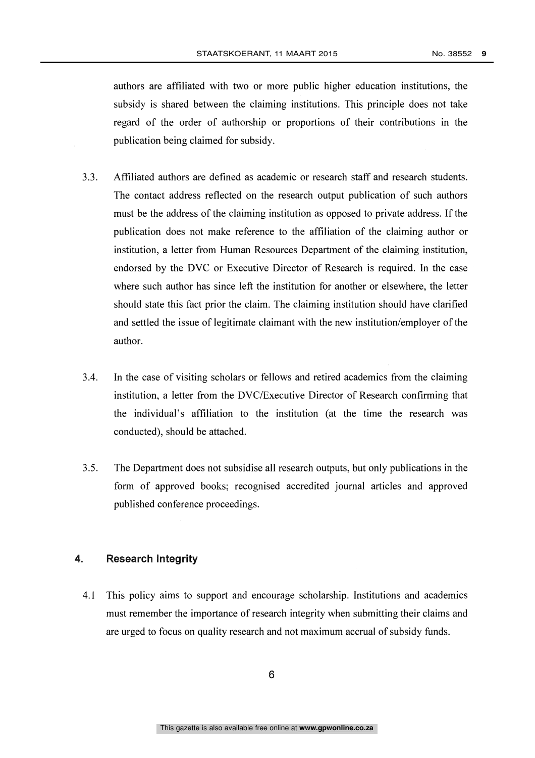authors are affiliated with two or more public higher education institutions, the subsidy is shared between the claiming institutions. This principle does not take regard of the order of authorship or proportions of their contributions in the publication being claimed for subsidy.

- 3.3. Affiliated authors are defined as academic or research staff and research students. The contact address reflected on the research output publication of such authors must be the address of the claiming institution as opposed to private address. If the publication does not make reference to the affiliation of the claiming author or institution, a letter from Human Resources Department of the claiming institution, endorsed by the DVC or Executive Director of Research is required. In the case where such author has since left the institution for another or elsewhere, the letter should state this fact prior the claim. The claiming institution should have clarified and settled the issue of legitimate claimant with the new institution/employer of the author.
- 3.4. In the case of visiting scholars or fellows and retired academics from the claiming institution, a letter from the DVC/Executive Director of Research confirming that the individual's affiliation to the institution (at the time the research was conducted), should be attached.
- 3.5. The Department does not subsidise all research outputs, but only publications in the form of approved books; recognised accredited journal articles and approved published conference proceedings.

#### 4. Research Integrity

4.1 This policy aims to support and encourage scholarship. Institutions and academics must remember the importance of research integrity when submitting their claims and are urged to focus on quality research and not maximum accrual of subsidy funds.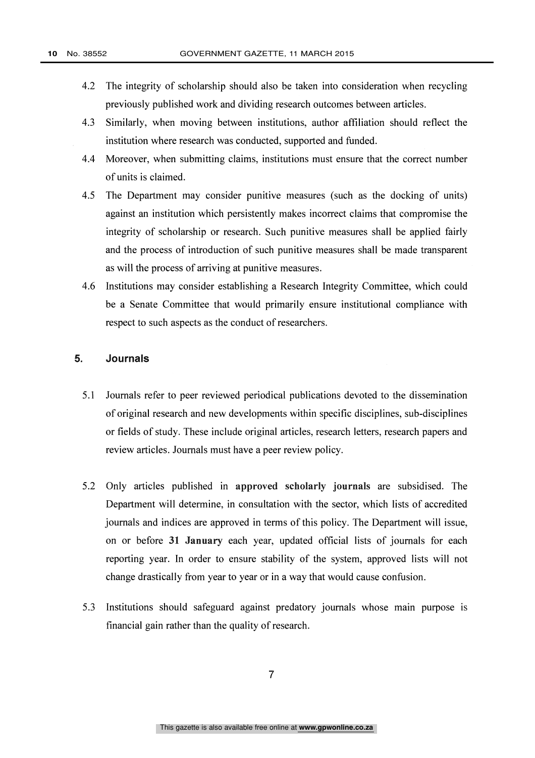- 4.2 The integrity of scholarship should also be taken into consideration when recycling previously published work and dividing research outcomes between articles.
- 4.3 Similarly, when moving between institutions, author affiliation should reflect the institution where research was conducted, supported and funded.
- 4.4 Moreover, when submitting claims, institutions must ensure that the correct number of units is claimed.
- 4.5 The Department may consider punitive measures (such as the docking of units) against an institution which persistently makes incorrect claims that compromise the integrity of scholarship or research. Such punitive measures shall be applied fairly and the process of introduction of such punitive measures shall be made transparent as will the process of arriving at punitive measures.
- 4.6 Institutions may consider establishing a Research Integrity Committee, which could be a Senate Committee that would primarily ensure institutional compliance with respect to such aspects as the conduct of researchers.

#### 5. Journals

- 5.1 Journals refer to peer reviewed periodical publications devoted to the dissemination of original research and new developments within specific disciplines, sub-disciplines or fields of study. These include original articles, research letters, research papers and review articles. Journals must have a peer review policy.
- 5.2 Only articles published in approved scholarly journals are subsidised. The Department will determine, in consultation with the sector, which lists of accredited journals and indices are approved in terms of this policy. The Department will issue, on or before 31 January each year, updated official lists of journals for each reporting year. In order to ensure stability of the system, approved lists will not change drastically from year to year or in a way that would cause confusion.
- 5.3 Institutions should safeguard against predatory journals whose main purpose is financial gain rather than the quality of research.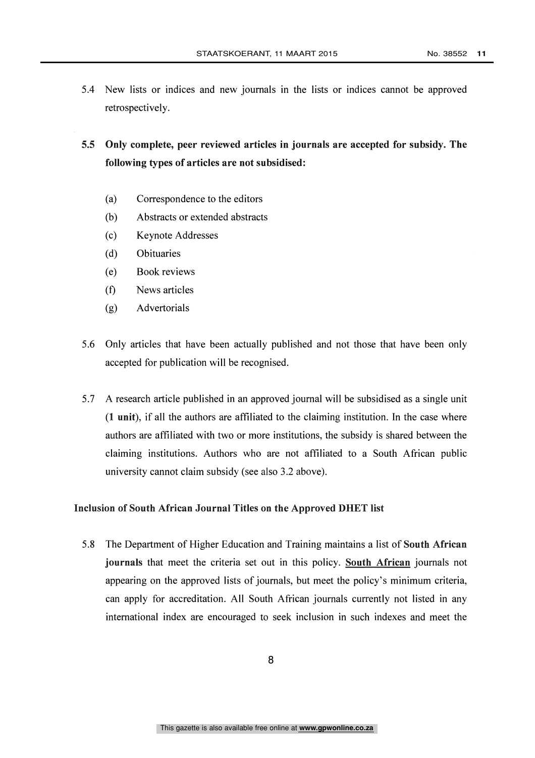5.4 New lists or indices and new journals in the lists or indices cannot be approved retrospectively.

5.5 Only complete, peer reviewed articles in journals are accepted for subsidy. The following types of articles are not subsidised:

- (a) Correspondence to the editors
- (b) Abstracts or extended abstracts
- (c) Keynote Addresses
- (d) Obituaries
- (e) Book reviews
- (f) News articles
- (g) Advertorials
- 5.6 Only articles that have been actually published and not those that have been only accepted for publication will be recognised.
- 5.7 A research article published in an approved journal will be subsidised as a single unit (1 unit), if all the authors are affiliated to the claiming institution. In the case where authors are affiliated with two or more institutions, the subsidy is shared between the claiming institutions. Authors who are not affiliated to a South African public university cannot claim subsidy (see also 3.2 above).

#### Inclusion of South African Journal Titles on the Approved DHET list

5.8 The Department of Higher Education and Training maintains a list of South African journals that meet the criteria set out in this policy. South African journals not appearing on the approved lists of journals, but meet the policy's minimum criteria, can apply for accreditation. All South African journals currently not listed in any international index are encouraged to seek inclusion in such indexes and meet the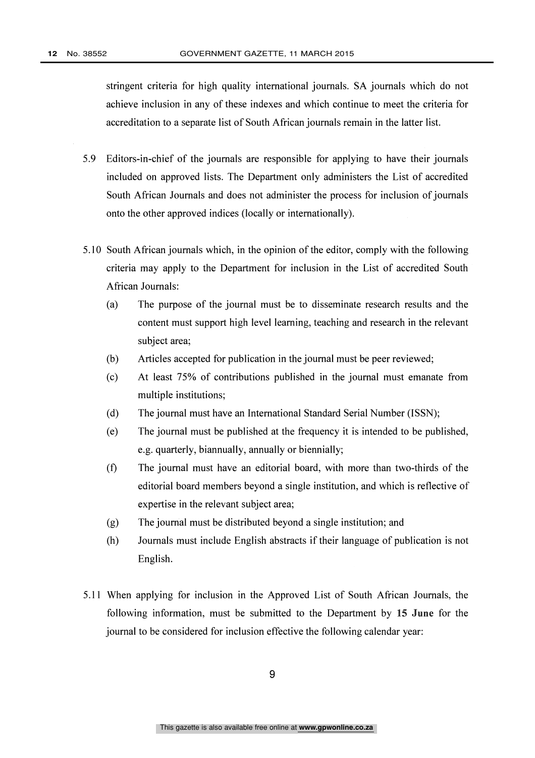stringent criteria for high quality international journals. SA journals which do not achieve inclusion in any of these indexes and which continue to meet the criteria for accreditation to a separate list of South African journals remain in the latter list.

- 5.9 Editors-in-chief of the journals are responsible for applying to have their journals included on approved lists. The Department only administers the List of accredited South African Journals and does not administer the process for inclusion of journals onto the other approved indices (locally or internationally).
- 5.10 South African journals which, in the opinion of the editor, comply with the following criteria may apply to the Department for inclusion in the List of accredited South African Journals:
	- (a) The purpose of the journal must be to disseminate research results and the content must support high level learning, teaching and research in the relevant subject area;
	- (b) Articles accepted for publication in the journal must be peer reviewed;
	- (c) At least 75% of contributions published in the journal must emanate from multiple institutions;
	- (d) The journal must have an International Standard Serial Number (ISSN);
	- (e) The journal must be published at the frequency it is intended to be published, e.g. quarterly, biannually, annually or biennially;
	- (f) The journal must have an editorial board, with more than two-thirds of the editorial board members beyond a single institution, and which is reflective of expertise in the relevant subject area;
	- (g) The journal must be distributed beyond a single institution; and
	- (h) Journals must include English abstracts if their language of publication is not English.
- 5.11 When applying for inclusion in the Approved List of South African Journals, the following information, must be submitted to the Department by 15 June for the journal to be considered for inclusion effective the following calendar year: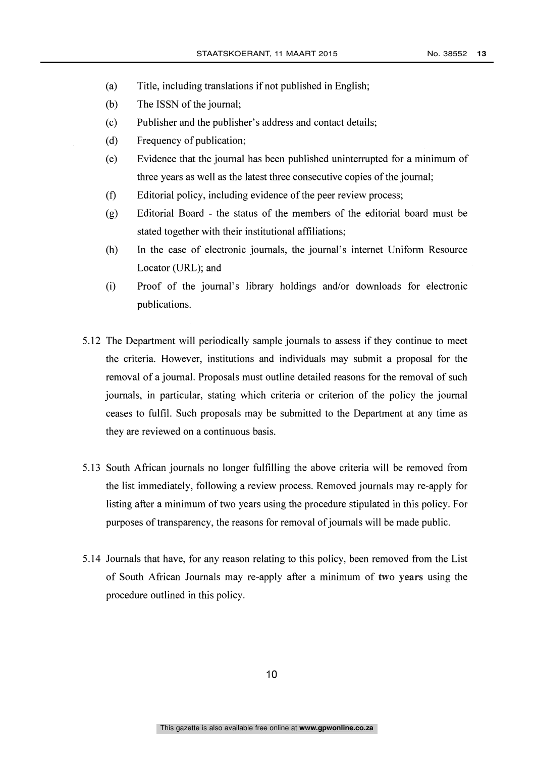- (a) Title, including translations if not published in English;
- (b) The ISSN of the journal;
- (c) Publisher and the publisher's address and contact details;
- (d) Frequency of publication;
- (e) Evidence that the journal has been published uninterrupted for a minimum of three years as well as the latest three consecutive copies of the journal;
- (f) Editorial policy, including evidence of the peer review process;
- (g) Editorial Board the status of the members of the editorial board must be stated together with their institutional affiliations;
- (h) In the case of electronic journals, the journal's internet Uniform Resource Locator (URL); and
- (i) Proof of the journal's library holdings and/or downloads for electronic publications.
- 5.12 The Department will periodically sample journals to assess if they continue to meet the criteria. However, institutions and individuals may submit a proposal for the removal of a journal. Proposals must outline detailed reasons for the removal of such journals, in particular, stating which criteria or criterion of the policy the journal ceases to fulfil. Such proposals may be submitted to the Department at any time as they are reviewed on a continuous basis.
- 5.13 South African journals no longer fulfilling the above criteria will be removed from the list immediately, following a review process. Removed journals may re-apply for listing after a minimum of two years using the procedure stipulated in this policy. For purposes of transparency, the reasons for removal of journals will be made public.
- 5.14 Journals that have, for any reason relating to this policy, been removed from the List of South African Journals may re-apply after a minimum of two years using the procedure outlined in this policy.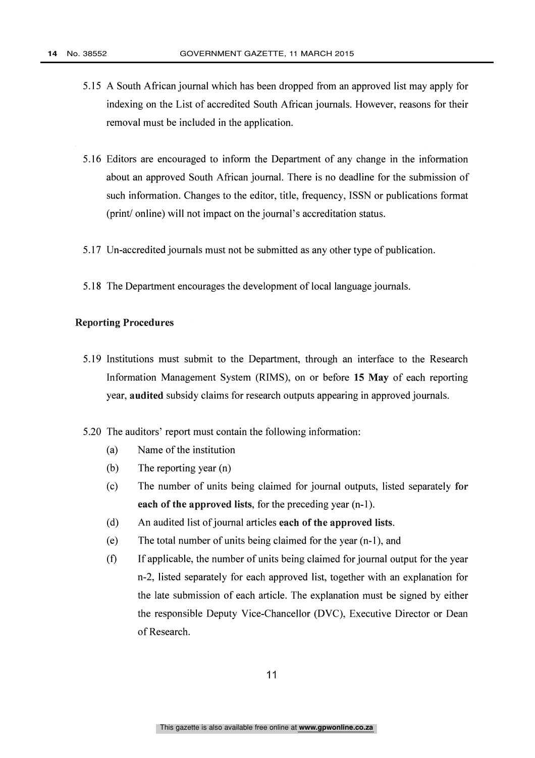- 5.15 A South African journal which has been dropped from an approved list may apply for indexing on the List of accredited South African journals. However, reasons for their removal must be included in the application.
- 5.16 Editors are encouraged to inform the Department of any change in the information about an approved South African journal. There is no deadline for the submission of such information. Changes to the editor, title, frequency, ISSN or publications format (print/ online) will not impact on the journal's accreditation status.
- 5.17 Un-accredited journals must not be submitted as any other type of publication.
- 5.18 The Department encourages the development of local language journals.

#### Reporting Procedures

- 5.19 Institutions must submit to the Department, through an interface to the Research Information Management System (RIMS), on or before 15 May of each reporting year, audited subsidy claims for research outputs appearing in approved journals.
- 5.20 The auditors' report must contain the following information:
	- (a) Name of the institution
	- (b) The reporting year (n)
	- (c) The number of units being claimed for journal outputs, listed separately for each of the approved lists, for the preceding year (n-1).
	- (d) An audited list of journal articles each of the approved lists.
	- (e) The total number of units being claimed for the year (n-1), and
	- (f) If applicable, the number of units being claimed for journal output for the year n-2, listed separately for each approved list, together with an explanation for the late submission of each article. The explanation must be signed by either the responsible Deputy Vice-Chancellor (DVC), Executive Director or Dean of Research.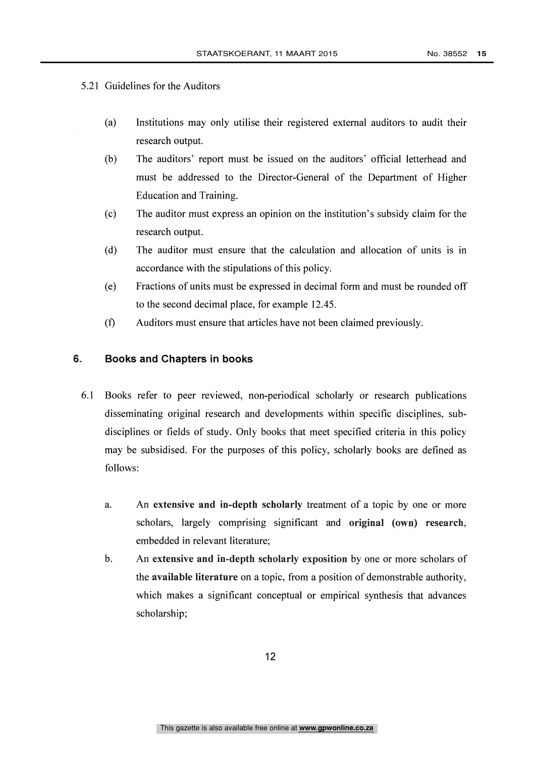#### 5.21 Guidelines for the Auditors

- (a) Institutions may only utilise their registered external auditors to audit their research output.
- (b) The auditors' report must be issued on the auditors' official letterhead and must be addressed to the Director-General of the Department of Higher Education and Training.
- (c) The auditor must express an opinion on the institution's subsidy claim for the research output.
- (d) The auditor must ensure that the calculation and allocation of units is in accordance with the stipulations of this policy.
- (e) Fractions of units must be expressed in decimal form and must be rounded off to the second decimal place, for example 12.45.
- (f) Auditors must ensure that articles have not been claimed previously.

#### 6. Books and Chapters in books

- 6.1 Books refer to peer reviewed, non-periodical scholarly or research publications disseminating original research and developments within specific disciplines, subdisciplines or fields of study. Only books that meet specified criteria in this policy may be subsidised. For the purposes of this policy, scholarly books are defined as follows:
	- a. An extensive and in-depth scholarly treatment of a topic by one or more scholars, largely comprising significant and original (own) research, embedded in relevant literature;
	- b. An extensive and in-depth scholarly exposition by one or more scholars of the available literature on a topic, from a position of demonstrable authority, which makes a significant conceptual or empirical synthesis that advances scholarship;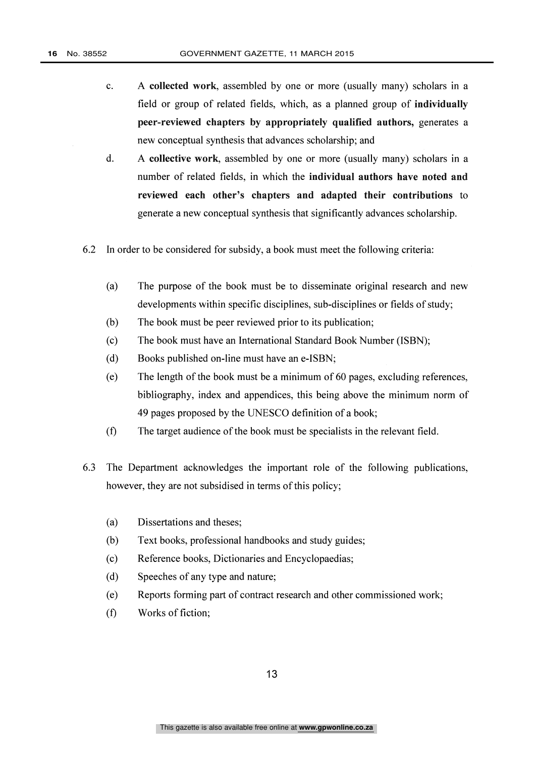- c. A collected work, assembled by one or more (usually many) scholars in a field or group of related fields, which, as a planned group of individually peer-reviewed chapters by appropriately qualified authors, generates a new conceptual synthesis that advances scholarship; and
- d. A collective work, assembled by one or more (usually many) scholars in a number of related fields, in which the individual authors have noted and reviewed each other's chapters and adapted their contributions to generate a new conceptual synthesis that significantly advances scholarship.
- 6.2 In order to be considered for subsidy, a book must meet the following criteria:
	- (a) The purpose of the book must be to disseminate original research and new developments within specific disciplines, sub-disciplines or fields of study;
	- (b) The book must be peer reviewed prior to its publication;
	- (c) The book must have an International Standard Book Number (ISBN);
	- (d) Books published on-line must have an e-ISBN;
	- (e) The length of the book must be a minimum of 60 pages, excluding references, bibliography, index and appendices, this being above the minimum norm of 49 pages proposed by the UNESCO definition of a book;
	- (f) The target audience of the book must be specialists in the relevant field.
- 6.3 The Department acknowledges the important role of the following publications, however, they are not subsidised in terms of this policy;
	- (a) Dissertations and theses;
	- (b) Text books, professional handbooks and study guides;
	- (c) Reference books, Dictionaries and Encyclopaedias;
	- (d) Speeches of any type and nature;
	- (e) Reports forming part of contract research and other commissioned work;
	- (f) Works of fiction;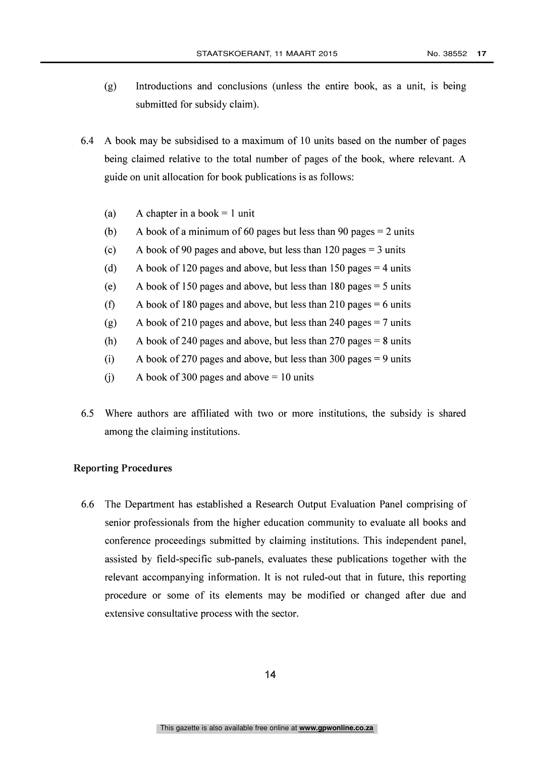- (g) Introductions and conclusions (unless the entire book, as a unit, is being submitted for subsidy claim).
- 6.4 A book may be subsidised to a maximum of 10 units based on the number of pages being claimed relative to the total number of pages of the book, where relevant. A guide on unit allocation for book publications is as follows:
	- (a) A chapter in a book  $= 1$  unit
	- (b) A book of a minimum of 60 pages but less than 90 pages  $= 2$  units
	- (c) A book of 90 pages and above, but less than 120 pages  $=$  3 units
	- (d) A book of 120 pages and above, but less than 150 pages  $=$  4 units
	- (e) A book of 150 pages and above, but less than 180 pages = 5 units
	- (f) A book of 180 pages and above, but less than 210 pages  $= 6$  units
	- (g) A book of 210 pages and above, but less than 240 pages  $= 7$  units
	- (h) A book of 240 pages and above, but less than 270 pages  $= 8$  units
	- (i) A book of 270 pages and above, but less than 300 pages = 9 units
	- (i) A book of 300 pages and above  $= 10$  units
- 6.5 Where authors are affiliated with two or more institutions, the subsidy is shared among the claiming institutions.

#### Reporting Procedures

6.6 The Department has established a Research Output Evaluation Panel comprising of senior professionals from the higher education community to evaluate all books and conference proceedings submitted by claiming institutions. This independent panel, assisted by field-specific sub-panels, evaluates these publications together with the relevant accompanying information. It is not ruled-out that in future, this reporting procedure or some of its elements may be modified or changed after due and extensive consultative process with the sector.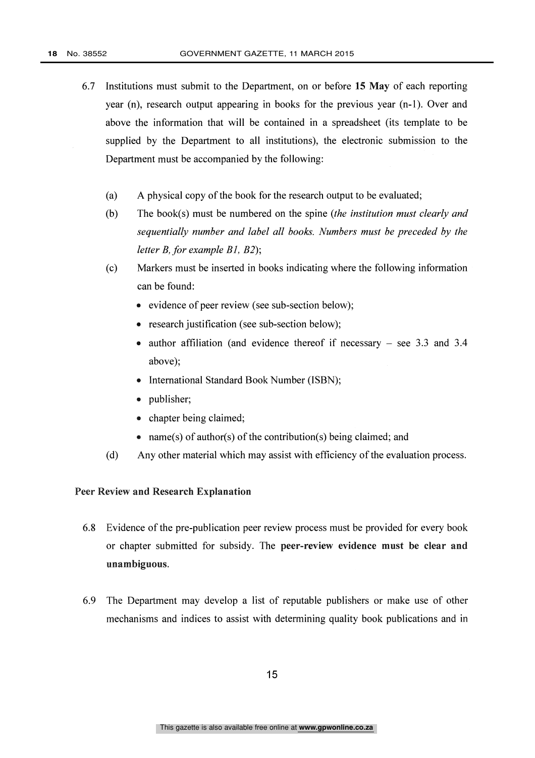- 6.7 Institutions must submit to the Department, on or before 15 May of each reporting year (n), research output appearing in books for the previous year (n-1). Over and above the information that will be contained in a spreadsheet (its template to be supplied by the Department to all institutions), the electronic submission to the Department must be accompanied by the following:
	- (a) A physical copy of the book for the research output to be evaluated;
	- (b) The book(s) must be numbered on the spine (the institution must clearly and sequentially number and label all books. Numbers must be preceded by the letter B, for example Bl, B2);
	- (c) Markers must be inserted in books indicating where the following information can be found:
		- evidence of peer review (see sub-section below);
		- research justification (see sub-section below);
		- author affiliation (and evidence thereof if necessary  $-$  see 3.3 and 3.4 above);
		- International Standard Book Number (ISBN);
		- publisher;
		- chapter being claimed;
		- name(s) of author(s) of the contribution(s) being claimed; and
	- (d) Any other material which may assist with efficiency of the evaluation process.

#### Peer Review and Research Explanation

- 6.8 Evidence of the pre-publication peer review process must be provided for every book or chapter submitted for subsidy. The peer-review evidence must be clear and unambiguous.
- 6.9 The Department may develop a list of reputable publishers or make use of other mechanisms and indices to assist with determining quality book publications and in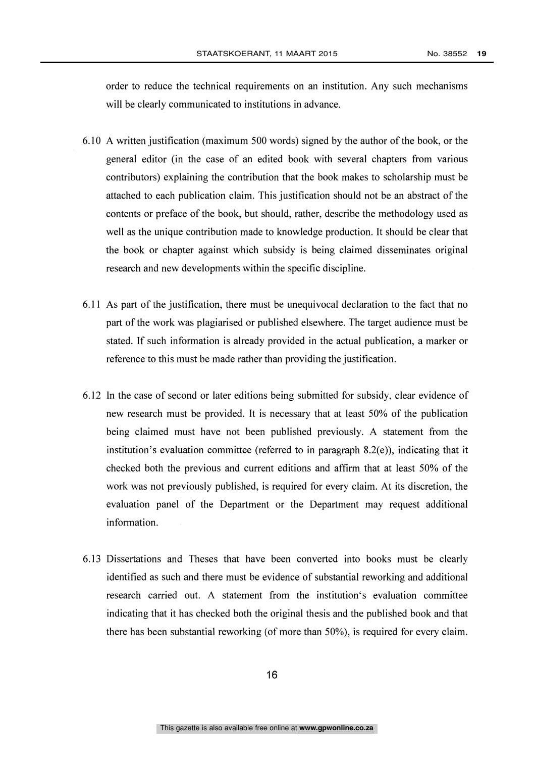order to reduce the technical requirements on an institution. Any such mechanisms will be clearly communicated to institutions in advance.

- 6.10 A written justification (maximum 500 words) signed by the author of the book, or the general editor (in the case of an edited book with several chapters from various contributors) explaining the contribution that the book makes to scholarship must be attached to each publication claim. This justification should not be an abstract of the contents or preface of the book, but should, rather, describe the methodology used as well as the unique contribution made to knowledge production. It should be clear that the book or chapter against which subsidy is being claimed disseminates original research and new developments within the specific discipline.
- 6.11 As part of the justification, there must be unequivocal declaration to the fact that no part of the work was plagiarised or published elsewhere. The target audience must be stated. If such information is already provided in the actual publication, a marker or reference to this must be made rather than providing the justification.
- 6.12 In the case of second or later editions being submitted for subsidy, clear evidence of new research must be provided. It is necessary that at least 50% of the publication being claimed must have not been published previously. A statement from the institution's evaluation committee (referred to in paragraph  $8.2(e)$ ), indicating that it checked both the previous and current editions and affirm that at least 50% of the work was not previously published, is required for every claim. At its discretion, the evaluation panel of the Department or the Department may request additional information.
- 6.13 Dissertations and Theses that have been converted into books must be clearly identified as such and there must be evidence of substantial reworking and additional research carried out. A statement from the institution's evaluation committee indicating that it has checked both the original thesis and the published book and that there has been substantial reworking (of more than 50%), is required for every claim.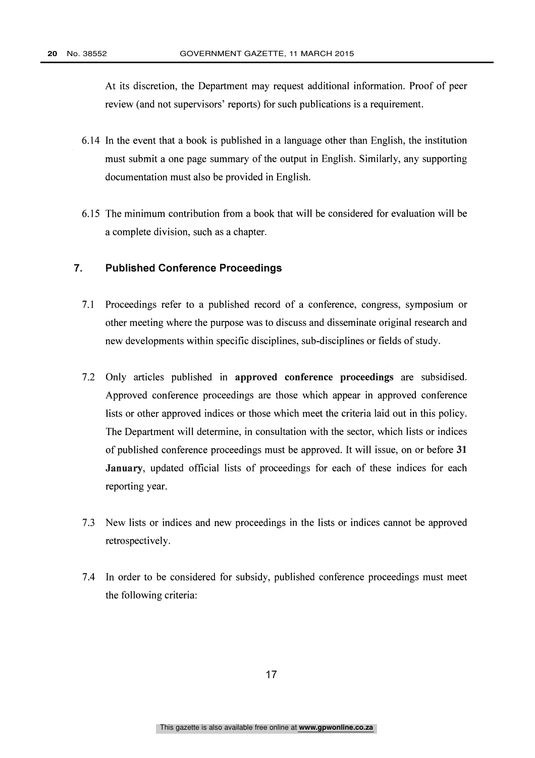At its discretion, the Department may request additional information. Proof of peer review (and not supervisors' reports) for such publications is a requirement.

- 6.14 In the event that a book is published in a language other than English, the institution must submit a one page summary of the output in English. Similarly, any supporting documentation must also be provided in English.
- 6.15 The minimum contribution from a book that will be considered for evaluation will be a complete division, such as a chapter.

#### 7. Published Conference Proceedings

- 7.1 Proceedings refer to a published record of a conference, congress, symposium or other meeting where the purpose was to discuss and disseminate original research and new developments within specific disciplines, sub-disciplines or fields of study.
- 7.2 Only articles published in approved conference proceedings are subsidised. Approved conference proceedings are those which appear in approved conference lists or other approved indices or those which meet the criteria laid out in this policy. The Department will determine, in consultation with the sector, which lists or indices of published conference proceedings must be approved. It will issue, on or before 31 January, updated official lists of proceedings for each of these indices for each reporting year.
- 7.3 New lists or indices and new proceedings in the lists or indices cannot be approved retrospectively.
- 7.4 In order to be considered for subsidy, published conference proceedings must meet the following criteria: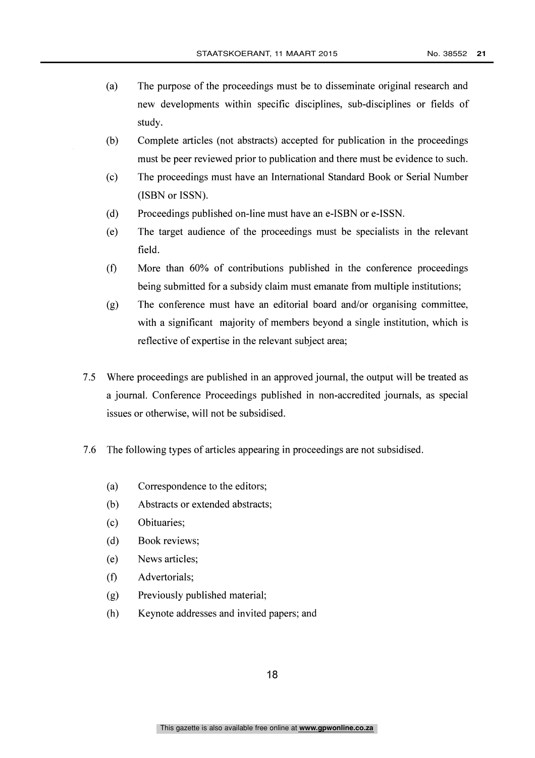- (a) The purpose of the proceedings must be to disseminate original research and new developments within specific disciplines, sub-disciplines or fields of study.
- (b) Complete articles (not abstracts) accepted for publication in the proceedings must be peer reviewed prior to publication and there must be evidence to such.
- (c) The proceedings must have an International Standard Book or Serial Number (ISBN or ISSN).
- (d) Proceedings published on-line must have an e-ISBN or e-ISSN.
- (e) The target audience of the proceedings must be specialists in the relevant field.
- $(f)$ More than 60% of contributions published in the conference proceedings being submitted for a subsidy claim must emanate from multiple institutions;
- (g) The conference must have an editorial board and/or organising committee, with a significant majority of members beyond a single institution, which is reflective of expertise in the relevant subject area;
- 7.5 Where proceedings are published in an approved journal, the output will be treated as a journal. Conference Proceedings published in non-accredited journals, as special issues or otherwise, will not be subsidised.
- 7.6 The following types of articles appearing in proceedings are not subsidised.
	- (a) Correspondence to the editors;
	- (b) Abstracts or extended abstracts;
	- (c) Obituaries;
	- (d) Book reviews;
	- (e) News articles;
	- Advertorials;  $(f)$
	- (g) Previously published material;
	- (h) Keynote addresses and invited papers; and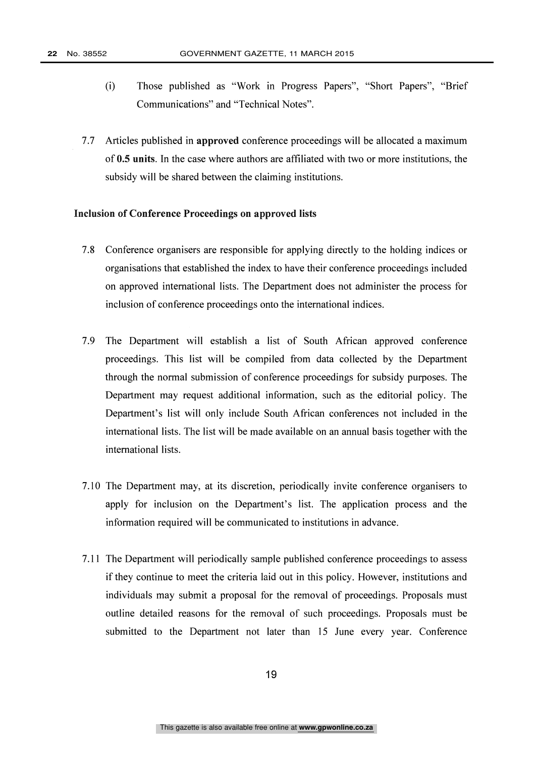- (i) Those published as "Work in Progress Papers", "Short Papers", "Brief Communications" and "Technical Notes".
- 7.7 Articles published in approved conference proceedings will be allocated a maximum of 0.5 units. In the case where authors are affiliated with two or more institutions, the subsidy will be shared between the claiming institutions.

#### Inclusion of Conference Proceedings on approved lists

- 7.8 Conference organisers are responsible for applying directly to the holding indices or organisations that established the index to have their conference proceedings included on approved international lists. The Department does not administer the process for inclusion of conference proceedings onto the international indices.
- 7.9 The Department will establish a list of South African approved conference proceedings. This list will be compiled from data collected by the Department through the normal submission of conference proceedings for subsidy purposes. The Department may request additional information, such as the editorial policy. The Department's list will only include South African conferences not included in the international lists. The list will be made available on an annual basis together with the international lists.
- 7.10 The Department may, at its discretion, periodically invite conference organisers to apply for inclusion on the Department's list. The application process and the information required will be communicated to institutions in advance.
- 7.11 The Department will periodically sample published conference proceedings to assess if they continue to meet the criteria laid out in this policy. However, institutions and individuals may submit a proposal for the removal of proceedings. Proposals must outline detailed reasons for the removal of such proceedings. Proposals must be submitted to the Department not later than 15 June every year. Conference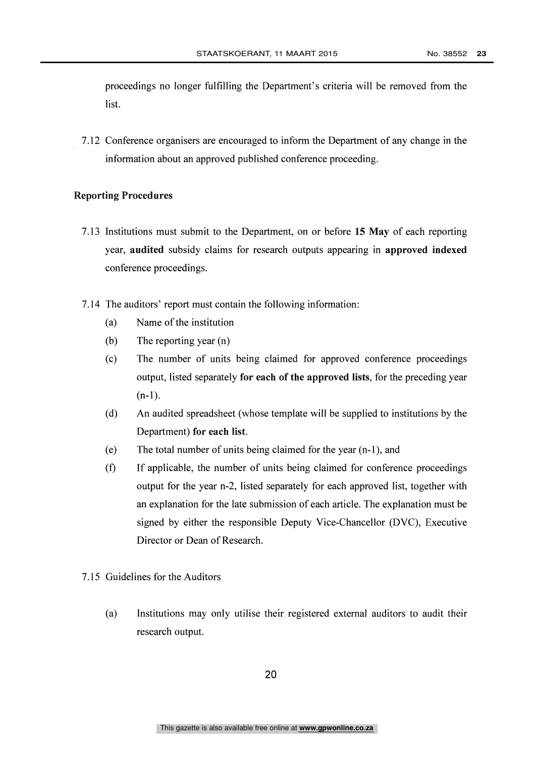proceedings no longer fulfilling the Department's criteria will be removed from the list.

7.12 Conference organisers are encouraged to inform the Department of any change in the information about an approved published conference proceeding.

#### Reporting Procedures

- 7.13 Institutions must submit to the Department, on or before 15 May of each reporting year, audited subsidy claims for research outputs appearing in approved indexed conference proceedings.
- 7.14 The auditors' report must contain the following information:
	- (a) Name of the institution
	- (b) The reporting year (n)
	- (c) The number of units being claimed for approved conference proceedings output, listed separately for each of the approved lists, for the preceding year  $(n-1)$ .
	- (d) An audited spreadsheet (whose template will be supplied to institutions by the Department) for each list.
	- (e) The total number of units being claimed for the year (n-1), and
	- (f) If applicable, the number of units being claimed for conference proceedings output for the year n-2, listed separately for each approved list, together with an explanation for the late submission of each article. The explanation must be signed by either the responsible Deputy Vice-Chancellor (DVC), Executive Director or Dean of Research.
- 7.15 Guidelines for the Auditors
	- (a) Institutions may only utilise their registered external auditors to audit their research output.

20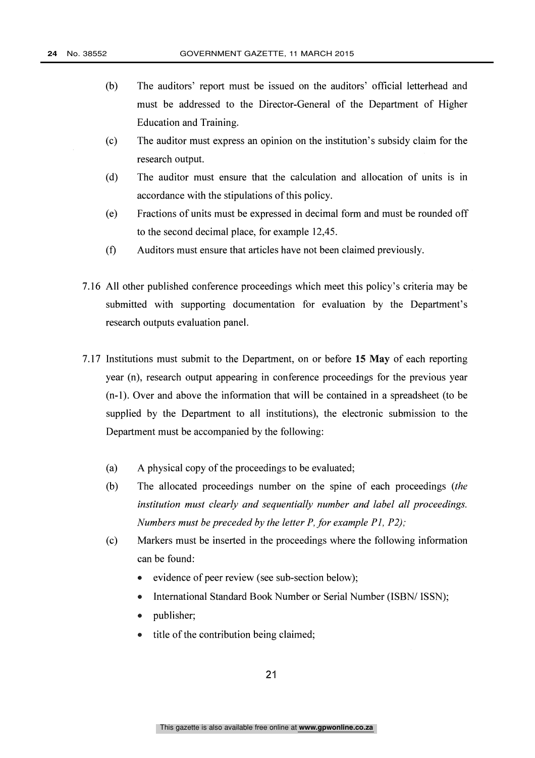- (b) The auditors' report must be issued on the auditors' official letterhead and must be addressed to the Director-General of the Department of Higher Education and Training.
- (c) The auditor must express an opinion on the institution's subsidy claim for the research output.
- (d) The auditor must ensure that the calculation and allocation of units is in accordance with the stipulations of this policy.
- (e) Fractions of units must be expressed in decimal form and must be rounded off to the second decimal place, for example 12,45.
- (f) Auditors must ensure that articles have not been claimed previously.
- 7.16 All other published conference proceedings which meet this policy's criteria may be submitted with supporting documentation for evaluation by the Department's research outputs evaluation panel.
- 7.17 Institutions must submit to the Department, on or before 15 May of each reporting year (n), research output appearing in conference proceedings for the previous year (n-1). Over and above the information that will be contained in a spreadsheet (to be supplied by the Department to all institutions), the electronic submission to the Department must be accompanied by the following:
	- (a) A physical copy of the proceedings to be evaluated;
	- (b) The allocated proceedings number on the spine of each proceedings (the institution must clearly and sequentially number and label all proceedings. Numbers must be preceded by the letter P, for example P1, P2);
	- (c) Markers must be inserted in the proceedings where the following information can be found:
		- evidence of peer review (see sub-section below);
		- International Standard Book Number or Serial Number (ISBN/ ISSN);
		- publisher;
		- title of the contribution being claimed;  $\bullet$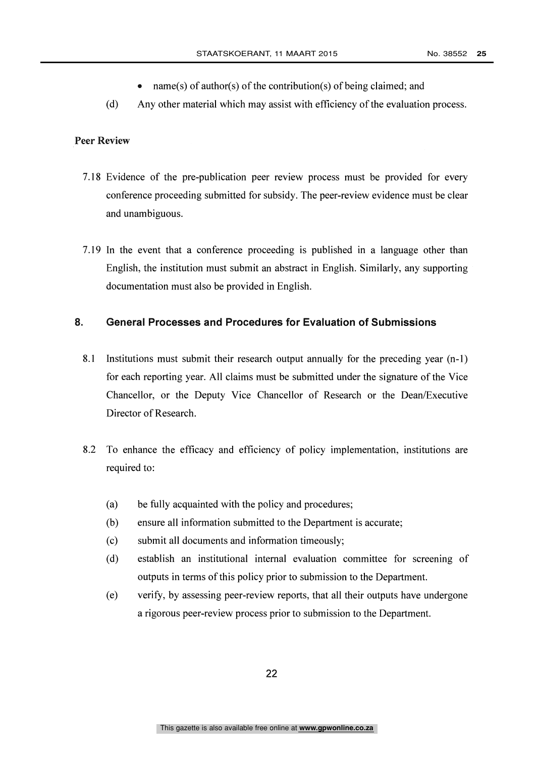- name(s) of author(s) of the contribution(s) of being claimed; and  $\bullet$
- (d) Any other material which may assist with efficiency of the evaluation process.

#### Peer Review

- 7.18 Evidence of the pre-publication peer review process must be provided for every conference proceeding submitted for subsidy. The peer-review evidence must be clear and unambiguous.
- 7.19 In the event that a conference proceeding is published in a language other than English, the institution must submit an abstract in English. Similarly, any supporting documentation must also be provided in English.

#### 8. General Processes and Procedures for Evaluation of Submissions

- 8.1 Institutions must submit their research output annually for the preceding year (n-1) for each reporting year. All claims must be submitted under the signature of the Vice Chancellor, or the Deputy Vice Chancellor of Research or the Dean/Executive Director of Research.
- 8.2 To enhance the efficacy and efficiency of policy implementation, institutions are required to:
	- (a) be fully acquainted with the policy and procedures;
	- (b) ensure all information submitted to the Department is accurate;
	- (c) submit all documents and information timeously;
	- (d) establish an institutional internal evaluation committee for screening of outputs in terms of this policy prior to submission to the Department.
	- (e) verify, by assessing peer-review reports, that all their outputs have undergone a rigorous peer-review process prior to submission to the Department.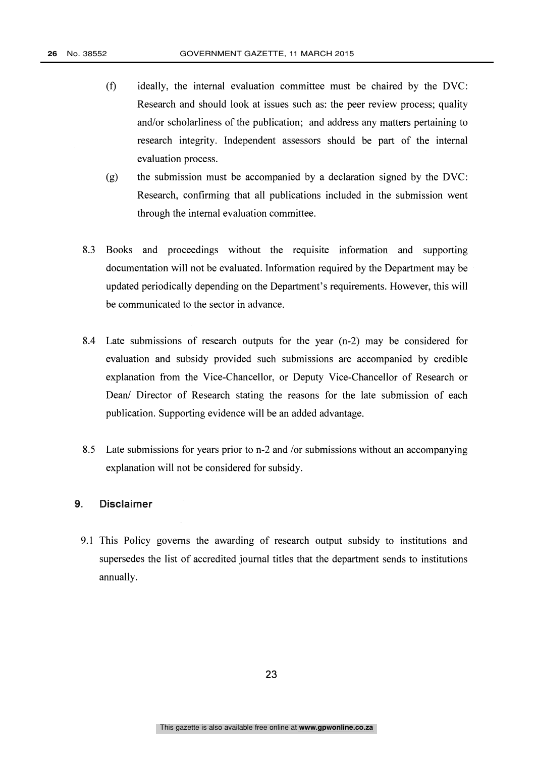- (0 ideally, the internal evaluation committee must be chaired by the DVC: Research and should look at issues such as: the peer review process; quality and/or scholarliness of the publication; and address any matters pertaining to research integrity. Independent assessors should be part of the internal evaluation process.
- (g) the submission must be accompanied by a declaration signed by the DVC: Research, confirming that all publications included in the submission went through the internal evaluation committee.
- 8.3 Books and proceedings without the requisite information and supporting documentation will not be evaluated. Information required by the Department may be updated periodically depending on the Department's requirements. However, this will be communicated to the sector in advance.
- 8.4 Late submissions of research outputs for the year (n-2) may be considered for evaluation and subsidy provided such submissions are accompanied by credible explanation from the Vice-Chancellor, or Deputy Vice-Chancellor of Research or Dean/ Director of Research stating the reasons for the late submission of each publication. Supporting evidence will be an added advantage.
- 8.5 Late submissions for years prior to n-2 and /or submissions without an accompanying explanation will not be considered for subsidy.

#### 9. Disclaimer

9.1 This Policy governs the awarding of research output subsidy to institutions and supersedes the list of accredited journal titles that the department sends to institutions annually.